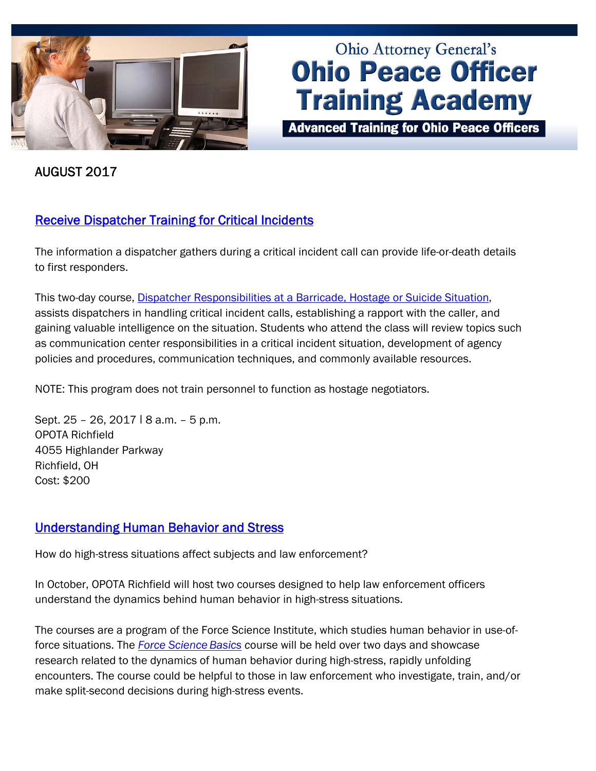

# **Ohio Attorney General's Ohio Peace Officer Training Academy**

**Advanced Training for Ohio Peace Officers** 

AUGUST 2017

## [Receive Dispatcher Training for Critical Incidents](http://www.ohioattorneygeneral.gov/Media/Newsletters/Ohio-Peace-Officer-Training-Academy-email-newslett/August-2017/Receive-Dispatcher-Training-for-Critical-Incidents)

The information a dispatcher gathers during a critical incident call can provide life-or-death details to first responders.

This two-day course, [Dispatcher Responsibilities at a Barricade, Hostage or Suicide Situation](http://www.ohioattorneygeneral.gov/Law-Enforcement/Ohio-Peace-Officer-Training-Academy/Course-Catalog/Course-Categories/Special-Operations-Courses#OPOTA133), assists dispatchers in handling critical incident calls, establishing a rapport with the caller, and gaining valuable intelligence on the situation. Students who attend the class will review topics such as communication center responsibilities in a critical incident situation, development of agency policies and procedures, communication techniques, and commonly available resources.

NOTE: This program does not train personnel to function as hostage negotiators.

Sept. 25 - 26, 2017 | 8 a.m. - 5 p.m. OPOTA Richfield 4055 Highlander Parkway Richfield, OH Cost: \$200

## [Understanding Human Behavior and Stress](http://www.ohioattorneygeneral.gov/Law-Enforcement/Ohio-Peace-Officer-Training-Academy/Course-Catalog/Course-Categories/Patrol-Courses#OPOTA980)

How do high-stress situations affect subjects and law enforcement?

In October, OPOTA Richfield will host two courses designed to help law enforcement officers understand the dynamics behind human behavior in high-stress situations.

The courses are a program of the Force Science Institute, which studies human behavior in use-offorce situations. The *[Force Science](http://www.ohioattorneygeneral.gov/Law-Enforcement/Ohio-Peace-Officer-Training-Academy/Course-Catalog/Course-Categories/Patrol-Courses#OPOTA980) Basics c*ourse will be held over two days and showcase research related to the dynamics of human behavior during high-stress, rapidly unfolding encounters. The course could be helpful to those in law enforcement who investigate, train, and/or make split-second decisions during high-stress events.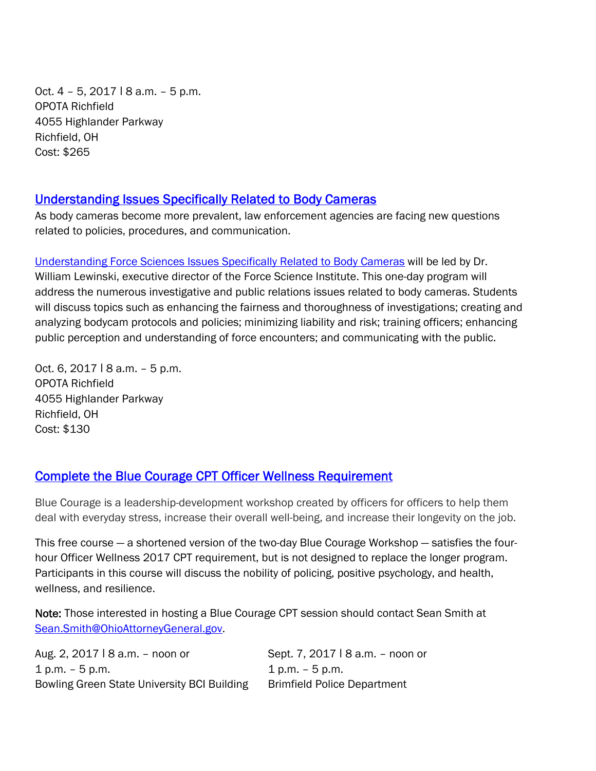Oct. 4 – 5, 2017 ǀ 8 a.m. – 5 p.m. OPOTA Richfield 4055 Highlander Parkway Richfield, OH Cost: \$265

#### [Understanding Issues Specifically Related to Body Cameras](http://www.ohioattorneygeneral.gov/Law-Enforcement/Ohio-Peace-Officer-Training-Academy/Course-Catalog/Course-Categories/Patrol-Courses#OPOTA981)

As body cameras become more prevalent, law enforcement agencies are facing new questions related to policies, procedures, and communication.

[Understanding Force Sciences Issues Specifically Related to Body Cameras](http://www.ohioattorneygeneral.gov/Law-Enforcement/Ohio-Peace-Officer-Training-Academy/Course-Catalog/Course-Categories/Patrol-Courses#OPOTA981) will be led by Dr. William Lewinski, executive director of the Force Science Institute. This one-day program will address the numerous investigative and public relations issues related to body cameras. Students will discuss topics such as enhancing the fairness and thoroughness of investigations; creating and analyzing bodycam protocols and policies; minimizing liability and risk; training officers; enhancing public perception and understanding of force encounters; and communicating with the public.

Oct. 6, 2017 | 8 a.m. - 5 p.m. OPOTA Richfield 4055 Highlander Parkway Richfield, OH Cost: \$130

## [Complete the Blue Courage CPT Officer Wellness Requirement](http://www.ohioattorneygeneral.gov/Law-Enforcement/Ohio-Peace-Officer-Training-Academy/Course-Catalog/Course-Categories/Officer-and-Community-Wellness/Blue-Courage-CPT-Session)

Blue Courage is a leadership-development workshop created by officers for officers to help them deal with everyday stress, increase their overall well-being, and increase their longevity on the job.

This free course — a shortened version of the two-day Blue Courage Workshop — satisfies the fourhour Officer Wellness 2017 CPT requirement, but is not designed to replace the longer program. Participants in this course will discuss the nobility of policing, positive psychology, and health, wellness, and resilience.

Note: Those interested in hosting a Blue Courage CPT session should contact Sean Smith at Sean.Smith@OhioAttorneyGeneral.gov.

| Aug. 2, 2017   8 a.m. – noon or             | Sept. 7, 2017   8 a.m. - noon or   |
|---------------------------------------------|------------------------------------|
| $1 p.m. - 5 p.m.$                           | 1 p.m. – 5 p.m.                    |
| Bowling Green State University BCI Building | <b>Brimfield Police Department</b> |